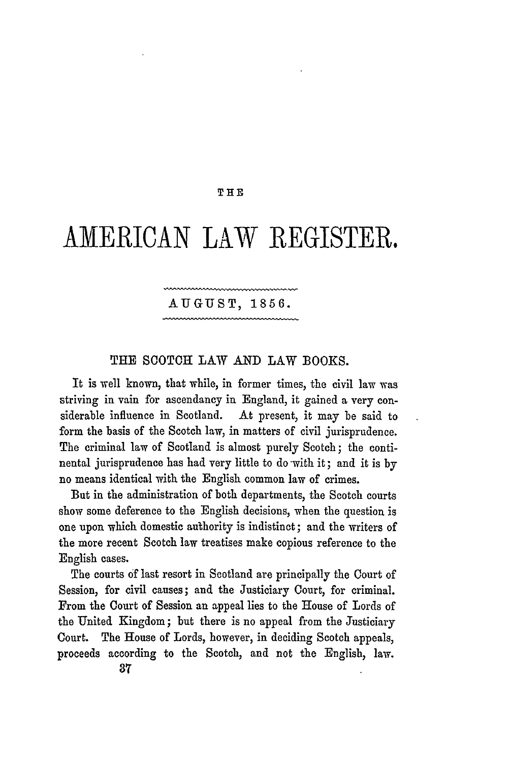## THE

## **AMERICAN** LAW REGISTER.

## AUGUST, 1856.

~~~~~~~~~~~~~~~~~~~~~~

## THE SCOTCH LAW AND LAW BOOKS.

It is well known, that while, in former times, the civil law was striving in vain for ascendancy in England, it gained a very considerable influence in Scotland. At present, it may be said to form the basis of the Scotch law, in matters of civil jurisprudence. The criminal law of Scotland is almost purely Scotch; the continental jurisprudence has had very little to do with it; and it is by no means identical with the English common law of crimes.

But in the administration of both departments, the Scotch courts show some deference to the English decisions, when the question is one upon which domestic authority is indistinct; and the writers of the more recent Scotch law treatises make copious reference to the English cases.

The courts of last resort in Scotland are principally the Court of Session, for civil causes; and the Justiciary Court, for criminal. From the Court of Session an appeal lies to the House of Lords of the United Kingdom; but there is no appeal from the Justiciary Court. The House of Lords, however, in deciding Scotch appeals, proceeds according to the Scotch, and not the English, law.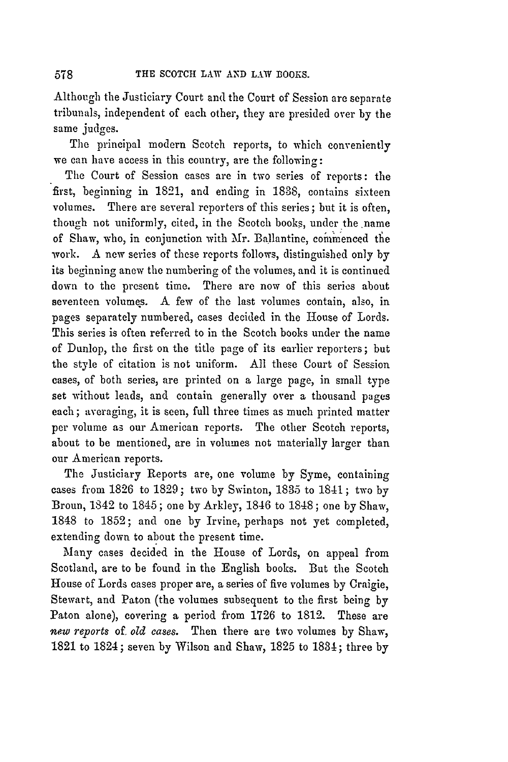Although the Justiciary Court and the Court of Session are separate tribunals, independent of each other, they are presided over by the same judges.

The principal modern Scotch reports, to which conveniently we can have access in this country, are the following:

The Court of Session cases are in two series of reports: the first, beginning in 1821, and ending in 1838, contains sixteen volumes. There are several reporters of this series; but it is often, though not uniformly, cited, in the Scotch books, under the name of Shaw, who, in conjunction with Mr. Ballantine, commenced the work. A new series of these reports follows, distinguished only by its beginning anew the numbering of the volumes, and it is continued down to the present time. There are now of this series about seventeen volumes. **A** few of the last volumes contain, also, in pages separately numbered, cases decided in the House of Lords. This series is often referred to in the Scotch books under the name of Dunlop, the first on the title page of its earlier reporters; but the style of citation is not uniform. All these Court of Session cases, of both series, are printed on a large page, in small type set without leads, and contain generally over a thousand pages each; averaging, it is seen, full three times as much printed matter per volume as our American reports. The other Scotch reports, about to be mentioned, are in volumes not materially larger than our American reports.

The Justiciary Reports are, one volume by Syme, containing cases from 1826 to 1829 ; two by Swinton, 1835 to 1841 ; two by Broun, 1842 to 1845; one by Arkley, 1846 to 1848; one by Shaw, 1848 to 1852; and one by Irvine, perhaps not yet completed, extending down to about the present time.

'Many cases decided in the House of Lords, on appeal from Scotland, are to be found in the English books. But the Scotch House of Lords cases proper are, a series of five volumes by Craigie, Stewart, and Paton (the volumes subsequent to the first being by Paton alone), covering **a** period from 1726 to 1812. These are *new reports of, old cases.* Then there are two volumes by Shaw, 1821 to 1824; seven by Wilson and Shaw, 1825 to 1834; three by

578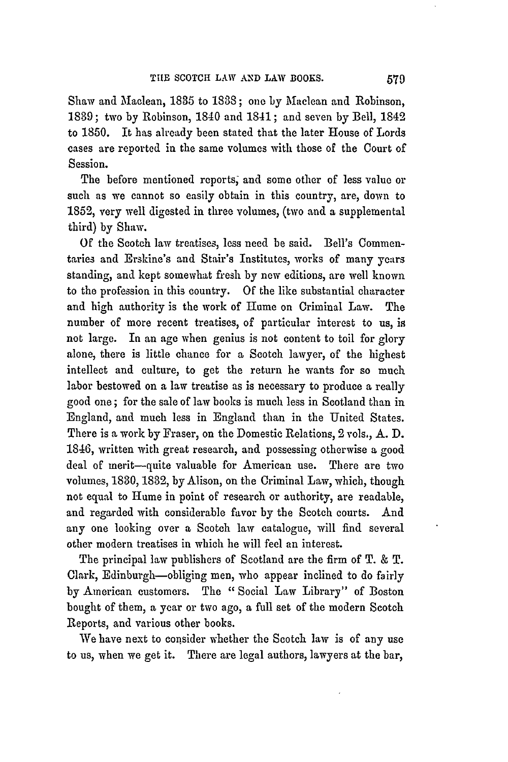Shaw and Maclean, 1835 to 1838; one by Maclean and Robinson, 1839; two by Robinson, 1840 and 1841; and seven by Bell, 1842 to 1850. It has already been stated that the later House of Lords cases are reported in the same volumes with those of the Court of Session.

The before mentioned reports; and some other of less value or such as we cannot so easily obtain in this country, are, down to 1852, very well digested in three volumes, (two and a supplemental third) by Shaw.

Of the Scotch law treatises, less need be said. Bell's Commentaries and Erskine's and Stair's Institutes, works of many years standing, and kept somewhat fresh by new editions, are well known to the profession in this country. Of the like substantial character and high authority is the work of Hume on Criminal Law. The number of more recent treatises, of particular interest to us, is not large. In an age when genius is not content to toil for glory alone, there is little chance for a Scotch lawyer, of the highest intellect and culture, to get the return he wants for so much labor bestowed on a law treatise as is necessary to produce a really good one; for the sale of law books is much less in Scotland than in England, and much less in England than in the United States. There is a work by Fraser, on the Domestic Relations, 2 vols., A. D. 1846, written with great research, and possessing otherwise a good deal of merit-quite valuable for American use. There are two volumes, 1830, **1832,** by Alison, on the Criminal Law, which, though not equal to Hume in point of research or authority, are readable, and regarded with considerable favor by the Scotch courts. And any one looking over a Scotch law catalogue, will find several other modern treatises in which he will feel an interest.

The principal law publishers of Scotland are the firm of T. & T. Clark, Edinburgh-obliging men, who appear inclined to do fairly by American customers. The " Social Law Library" of Boston bought of them, a year or two ago, a full set of the modern Scotch Reports, and various other books.

We have next to consider whether the Scotch law is of any use to us, when we get it. There are legal authors, lawyers at the bar,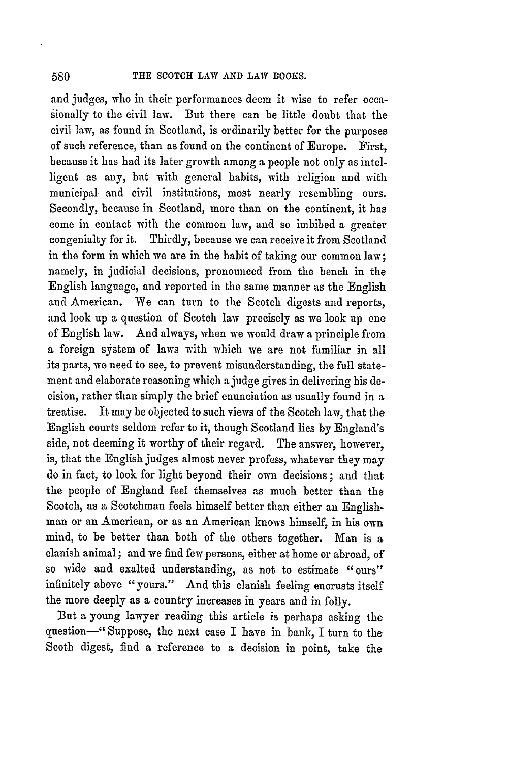and judges, who in their performances deem it wise to refer occasionally to the civil law. But there can be little doubt that the civil law, as found in Scotland, is ordinarily better for the purposes of such reference, than as found on the continent of Europe. First, because it has had its later growth among a people not only as intelligent as any, but with general habits, with religion and with municipal and civil institutions, most nearly resembling ours. Secondly, because in Scotland, more than on the continent, it has come in contact with the common law, and so imbibed a greater congenialty for it. Thirdly, because we can receive it from Scotland in the form in which we are in the habit of taking our common law; namely, in judicial decisions, pronounced from the bench in the English language, and reported in the same manner as the English and American. We can turn to the Scotch digests and reports, and look up a question of Scotch law precisely as we look up one of English law. And always, when we would draw a principle from a foreign system of laws with which we are not familiar in all its parts, we need to see, to prevent misunderstanding, the full statement and elaborate reasoning which a judge gives in delivering his decision, rather than simply the brief enunciation as usually found in a treatise. It may be objected to such views of the Scotch law, that the English courts seldom refer to it, though Scotland lies by England's side, not deeming it worthy of their regard. The answer, however, is, that the English judges almost never profess, whatever they may do in fact, to look for light beyond their own decisions ; and that the people of England feel themselves as much better than the Scotch, as a Scotchman feels himself better than either an Englishman or an American, or as an American knows himself, in his own mind, to be better than both of the others together. Man is a clanish animal; and we find few persons, either at home or abroad, of so wide and exalted understanding, as not to estimate "ours" infinitely above "yours." And this clanish feeling encrusts itself the more deeply as a country increases in years and in folly.

But a young lawyer reading this article is perhaps asking the question-" Suppose, the next case I have in bank, I turn to the Scoth digest, find a reference to a decision in point, take the